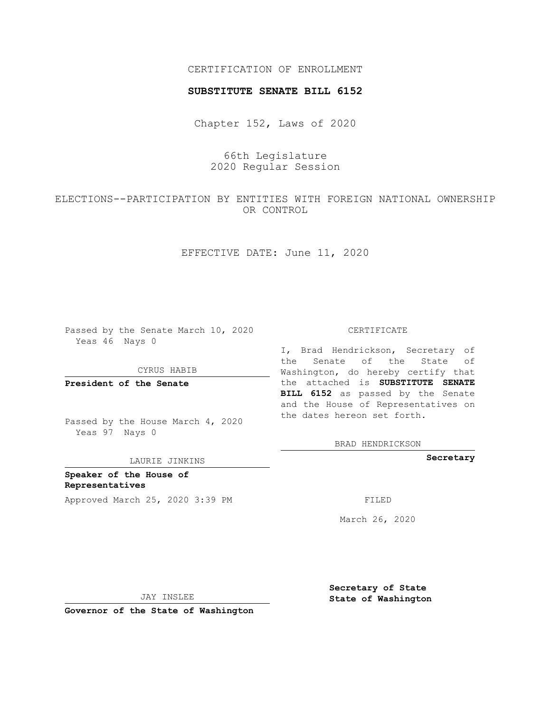## CERTIFICATION OF ENROLLMENT

### **SUBSTITUTE SENATE BILL 6152**

Chapter 152, Laws of 2020

66th Legislature 2020 Regular Session

ELECTIONS--PARTICIPATION BY ENTITIES WITH FOREIGN NATIONAL OWNERSHIP OR CONTROL

EFFECTIVE DATE: June 11, 2020

Passed by the Senate March 10, 2020 Yeas 46 Nays 0

CYRUS HABIB

**President of the Senate**

Passed by the House March 4, 2020 Yeas 97 Nays 0

LAURIE JINKINS

**Speaker of the House of Representatives** Approved March 25, 2020 3:39 PM FILED

#### CERTIFICATE

I, Brad Hendrickson, Secretary of the Senate of the State of Washington, do hereby certify that the attached is **SUBSTITUTE SENATE BILL 6152** as passed by the Senate and the House of Representatives on the dates hereon set forth.

BRAD HENDRICKSON

**Secretary**

March 26, 2020

JAY INSLEE

**Governor of the State of Washington**

**Secretary of State State of Washington**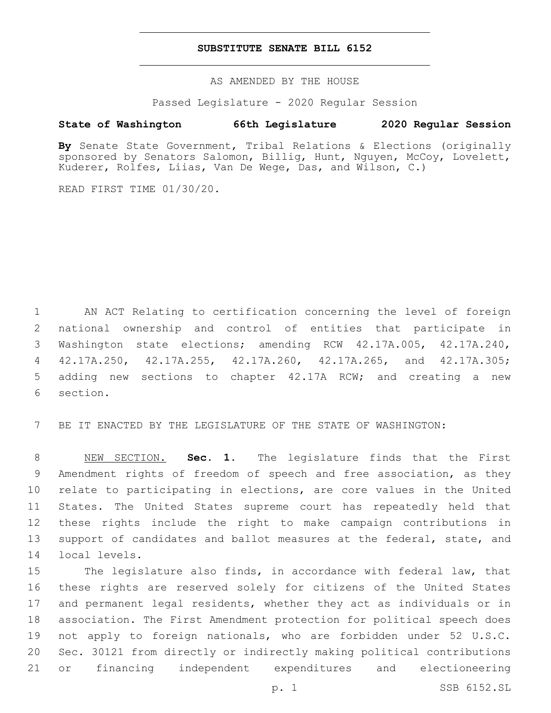### **SUBSTITUTE SENATE BILL 6152**

AS AMENDED BY THE HOUSE

Passed Legislature - 2020 Regular Session

# **State of Washington 66th Legislature 2020 Regular Session**

**By** Senate State Government, Tribal Relations & Elections (originally sponsored by Senators Salomon, Billig, Hunt, Nguyen, McCoy, Lovelett, Kuderer, Rolfes, Liias, Van De Wege, Das, and Wilson, C.)

READ FIRST TIME 01/30/20.

 AN ACT Relating to certification concerning the level of foreign national ownership and control of entities that participate in Washington state elections; amending RCW 42.17A.005, 42.17A.240, 42.17A.250, 42.17A.255, 42.17A.260, 42.17A.265, and 42.17A.305; adding new sections to chapter 42.17A RCW; and creating a new 6 section.

BE IT ENACTED BY THE LEGISLATURE OF THE STATE OF WASHINGTON:

 NEW SECTION. **Sec. 1.** The legislature finds that the First Amendment rights of freedom of speech and free association, as they relate to participating in elections, are core values in the United States. The United States supreme court has repeatedly held that these rights include the right to make campaign contributions in 13 support of candidates and ballot measures at the federal, state, and local levels.

 The legislature also finds, in accordance with federal law, that these rights are reserved solely for citizens of the United States and permanent legal residents, whether they act as individuals or in association. The First Amendment protection for political speech does not apply to foreign nationals, who are forbidden under 52 U.S.C. Sec. 30121 from directly or indirectly making political contributions or financing independent expenditures and electioneering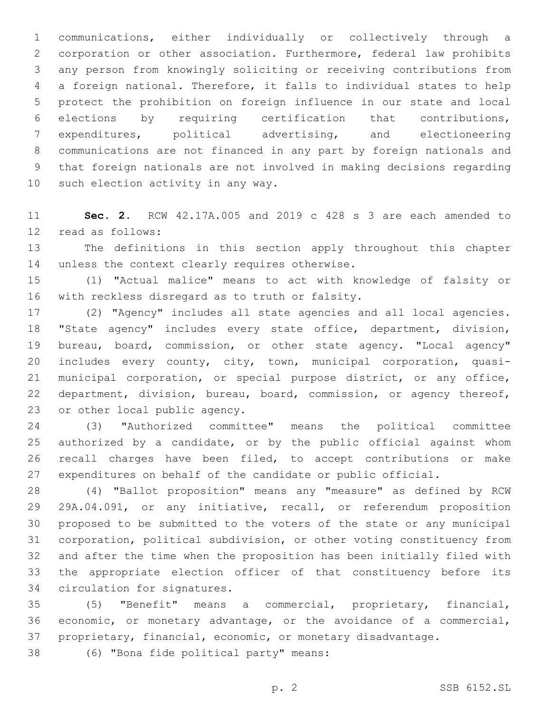communications, either individually or collectively through a corporation or other association. Furthermore, federal law prohibits any person from knowingly soliciting or receiving contributions from a foreign national. Therefore, it falls to individual states to help protect the prohibition on foreign influence in our state and local elections by requiring certification that contributions, expenditures, political advertising, and electioneering communications are not financed in any part by foreign nationals and that foreign nationals are not involved in making decisions regarding 10 such election activity in any way.

 **Sec. 2.** RCW 42.17A.005 and 2019 c 428 s 3 are each amended to 12 read as follows:

 The definitions in this section apply throughout this chapter 14 unless the context clearly requires otherwise.

 (1) "Actual malice" means to act with knowledge of falsity or 16 with reckless disregard as to truth or falsity.

 (2) "Agency" includes all state agencies and all local agencies. "State agency" includes every state office, department, division, bureau, board, commission, or other state agency. "Local agency" includes every county, city, town, municipal corporation, quasi- municipal corporation, or special purpose district, or any office, department, division, bureau, board, commission, or agency thereof, 23 or other local public agency.

 (3) "Authorized committee" means the political committee authorized by a candidate, or by the public official against whom recall charges have been filed, to accept contributions or make expenditures on behalf of the candidate or public official.

 (4) "Ballot proposition" means any "measure" as defined by RCW 29A.04.091, or any initiative, recall, or referendum proposition proposed to be submitted to the voters of the state or any municipal corporation, political subdivision, or other voting constituency from and after the time when the proposition has been initially filed with the appropriate election officer of that constituency before its 34 circulation for signatures.

 (5) "Benefit" means a commercial, proprietary, financial, economic, or monetary advantage, or the avoidance of a commercial, proprietary, financial, economic, or monetary disadvantage.

(6) "Bona fide political party" means:38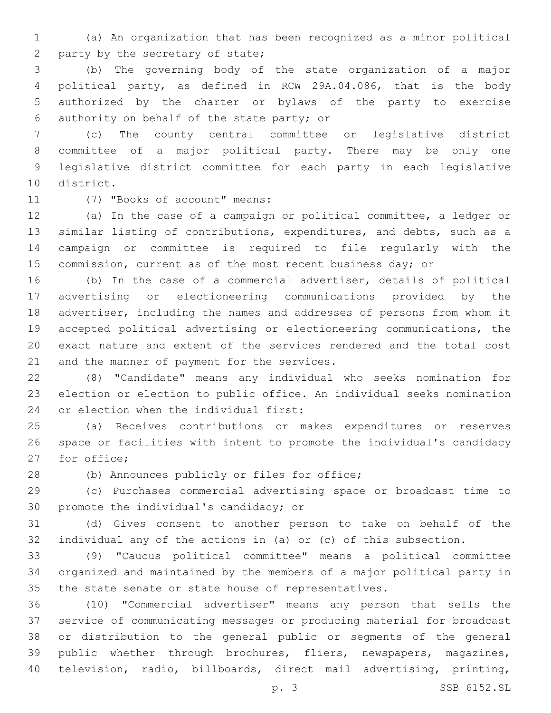(a) An organization that has been recognized as a minor political 2 party by the secretary of state;

 (b) The governing body of the state organization of a major political party, as defined in RCW 29A.04.086, that is the body authorized by the charter or bylaws of the party to exercise 6 authority on behalf of the state party; or

 (c) The county central committee or legislative district committee of a major political party. There may be only one legislative district committee for each party in each legislative 10 district.

11 (7) "Books of account" means:

 (a) In the case of a campaign or political committee, a ledger or similar listing of contributions, expenditures, and debts, such as a campaign or committee is required to file regularly with the 15 commission, current as of the most recent business day; or

 (b) In the case of a commercial advertiser, details of political advertising or electioneering communications provided by the advertiser, including the names and addresses of persons from whom it accepted political advertising or electioneering communications, the exact nature and extent of the services rendered and the total cost 21 and the manner of payment for the services.

 (8) "Candidate" means any individual who seeks nomination for election or election to public office. An individual seeks nomination 24 or election when the individual first:

 (a) Receives contributions or makes expenditures or reserves space or facilities with intent to promote the individual's candidacy 27 for office;

28 (b) Announces publicly or files for office;

 (c) Purchases commercial advertising space or broadcast time to 30 promote the individual's candidacy; or

 (d) Gives consent to another person to take on behalf of the individual any of the actions in (a) or (c) of this subsection.

 (9) "Caucus political committee" means a political committee organized and maintained by the members of a major political party in the state senate or state house of representatives.

 (10) "Commercial advertiser" means any person that sells the service of communicating messages or producing material for broadcast or distribution to the general public or segments of the general public whether through brochures, fliers, newspapers, magazines, television, radio, billboards, direct mail advertising, printing,

p. 3 SSB 6152.SL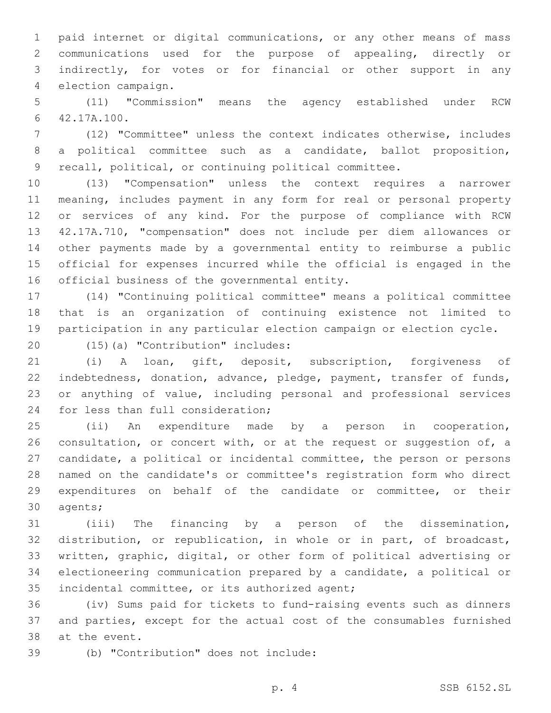paid internet or digital communications, or any other means of mass communications used for the purpose of appealing, directly or indirectly, for votes or for financial or other support in any 4 election campaign.

 (11) "Commission" means the agency established under RCW 42.17A.100.6

 (12) "Committee" unless the context indicates otherwise, includes a political committee such as a candidate, ballot proposition, recall, political, or continuing political committee.

 (13) "Compensation" unless the context requires a narrower meaning, includes payment in any form for real or personal property or services of any kind. For the purpose of compliance with RCW 42.17A.710, "compensation" does not include per diem allowances or other payments made by a governmental entity to reimburse a public official for expenses incurred while the official is engaged in the 16 official business of the governmental entity.

 (14) "Continuing political committee" means a political committee that is an organization of continuing existence not limited to participation in any particular election campaign or election cycle.

20 (15)(a) "Contribution" includes:

 (i) A loan, gift, deposit, subscription, forgiveness of indebtedness, donation, advance, pledge, payment, transfer of funds, or anything of value, including personal and professional services 24 for less than full consideration;

 (ii) An expenditure made by a person in cooperation, 26 consultation, or concert with, or at the request or suggestion of, a candidate, a political or incidental committee, the person or persons named on the candidate's or committee's registration form who direct expenditures on behalf of the candidate or committee, or their 30 agents;

 (iii) The financing by a person of the dissemination, distribution, or republication, in whole or in part, of broadcast, written, graphic, digital, or other form of political advertising or electioneering communication prepared by a candidate, a political or 35 incidental committee, or its authorized agent;

 (iv) Sums paid for tickets to fund-raising events such as dinners and parties, except for the actual cost of the consumables furnished 38 at the event.

(b) "Contribution" does not include:39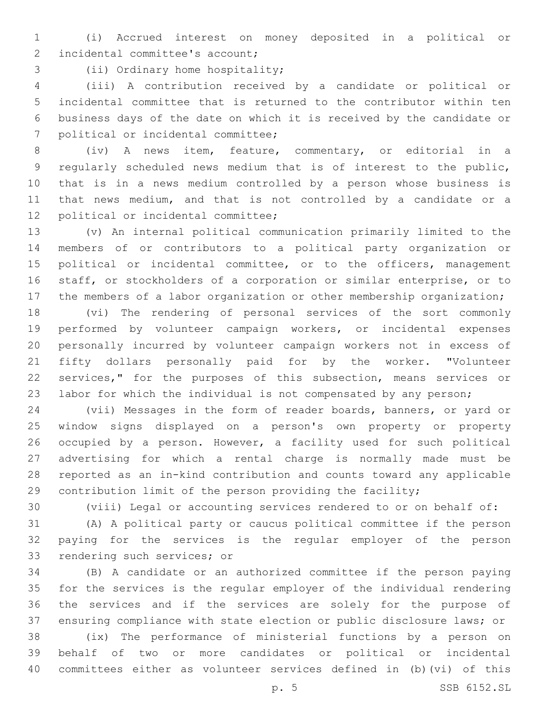(i) Accrued interest on money deposited in a political or 2 incidental committee's account;

3 (ii) Ordinary home hospitality;

 (iii) A contribution received by a candidate or political or incidental committee that is returned to the contributor within ten business days of the date on which it is received by the candidate or 7 political or incidental committee;

 (iv) A news item, feature, commentary, or editorial in a regularly scheduled news medium that is of interest to the public, that is in a news medium controlled by a person whose business is that news medium, and that is not controlled by a candidate or a 12 political or incidental committee;

 (v) An internal political communication primarily limited to the members of or contributors to a political party organization or 15 political or incidental committee, or to the officers, management staff, or stockholders of a corporation or similar enterprise, or to 17 the members of a labor organization or other membership organization;

 (vi) The rendering of personal services of the sort commonly performed by volunteer campaign workers, or incidental expenses personally incurred by volunteer campaign workers not in excess of fifty dollars personally paid for by the worker. "Volunteer services," for the purposes of this subsection, means services or labor for which the individual is not compensated by any person;

 (vii) Messages in the form of reader boards, banners, or yard or window signs displayed on a person's own property or property occupied by a person. However, a facility used for such political advertising for which a rental charge is normally made must be reported as an in-kind contribution and counts toward any applicable contribution limit of the person providing the facility;

(viii) Legal or accounting services rendered to or on behalf of:

 (A) A political party or caucus political committee if the person paying for the services is the regular employer of the person 33 rendering such services; or

 (B) A candidate or an authorized committee if the person paying for the services is the regular employer of the individual rendering the services and if the services are solely for the purpose of ensuring compliance with state election or public disclosure laws; or

 (ix) The performance of ministerial functions by a person on behalf of two or more candidates or political or incidental committees either as volunteer services defined in (b)(vi) of this

p. 5 SSB 6152.SL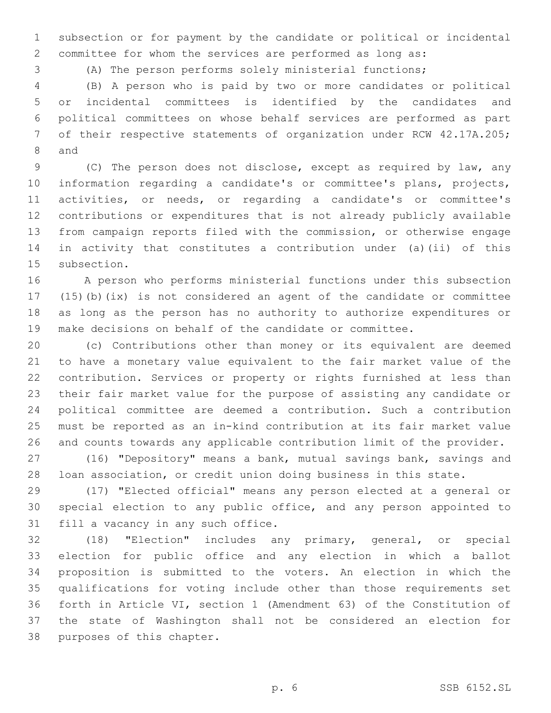subsection or for payment by the candidate or political or incidental committee for whom the services are performed as long as:

(A) The person performs solely ministerial functions;

 (B) A person who is paid by two or more candidates or political or incidental committees is identified by the candidates and political committees on whose behalf services are performed as part of their respective statements of organization under RCW 42.17A.205; 8 and

 (C) The person does not disclose, except as required by law, any information regarding a candidate's or committee's plans, projects, activities, or needs, or regarding a candidate's or committee's contributions or expenditures that is not already publicly available from campaign reports filed with the commission, or otherwise engage in activity that constitutes a contribution under (a)(ii) of this 15 subsection.

 A person who performs ministerial functions under this subsection (15)(b)(ix) is not considered an agent of the candidate or committee as long as the person has no authority to authorize expenditures or make decisions on behalf of the candidate or committee.

 (c) Contributions other than money or its equivalent are deemed to have a monetary value equivalent to the fair market value of the contribution. Services or property or rights furnished at less than their fair market value for the purpose of assisting any candidate or political committee are deemed a contribution. Such a contribution must be reported as an in-kind contribution at its fair market value and counts towards any applicable contribution limit of the provider.

 (16) "Depository" means a bank, mutual savings bank, savings and loan association, or credit union doing business in this state.

 (17) "Elected official" means any person elected at a general or special election to any public office, and any person appointed to 31 fill a vacancy in any such office.

 (18) "Election" includes any primary, general, or special election for public office and any election in which a ballot proposition is submitted to the voters. An election in which the qualifications for voting include other than those requirements set forth in Article VI, section 1 (Amendment 63) of the Constitution of the state of Washington shall not be considered an election for 38 purposes of this chapter.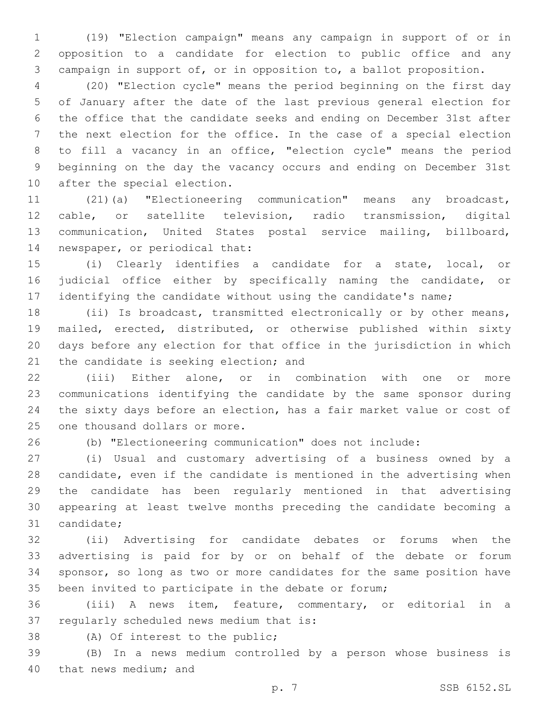(19) "Election campaign" means any campaign in support of or in opposition to a candidate for election to public office and any campaign in support of, or in opposition to, a ballot proposition.

 (20) "Election cycle" means the period beginning on the first day of January after the date of the last previous general election for the office that the candidate seeks and ending on December 31st after the next election for the office. In the case of a special election to fill a vacancy in an office, "election cycle" means the period beginning on the day the vacancy occurs and ending on December 31st 10 after the special election.

 (21)(a) "Electioneering communication" means any broadcast, cable, or satellite television, radio transmission, digital communication, United States postal service mailing, billboard, 14 newspaper, or periodical that:

 (i) Clearly identifies a candidate for a state, local, or judicial office either by specifically naming the candidate, or 17 identifying the candidate without using the candidate's name;

 (ii) Is broadcast, transmitted electronically or by other means, mailed, erected, distributed, or otherwise published within sixty days before any election for that office in the jurisdiction in which 21 the candidate is seeking election; and

 (iii) Either alone, or in combination with one or more communications identifying the candidate by the same sponsor during the sixty days before an election, has a fair market value or cost of 25 one thousand dollars or more.

(b) "Electioneering communication" does not include:

 (i) Usual and customary advertising of a business owned by a candidate, even if the candidate is mentioned in the advertising when the candidate has been regularly mentioned in that advertising appearing at least twelve months preceding the candidate becoming a 31 candidate;

 (ii) Advertising for candidate debates or forums when the advertising is paid for by or on behalf of the debate or forum sponsor, so long as two or more candidates for the same position have been invited to participate in the debate or forum;

 (iii) A news item, feature, commentary, or editorial in a 37 regularly scheduled news medium that is:

38 (A) Of interest to the public;

 (B) In a news medium controlled by a person whose business is 40 that news medium; and

p. 7 SSB 6152.SL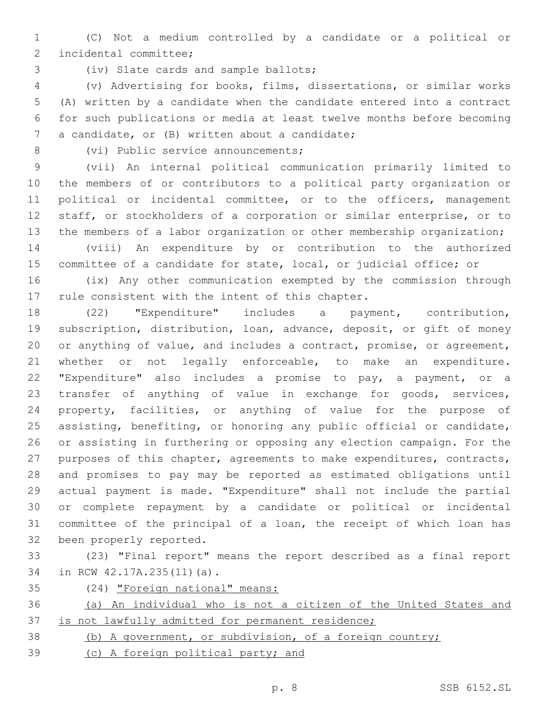(C) Not a medium controlled by a candidate or a political or 2 incidental committee;

3 (iv) Slate cards and sample ballots;

 (v) Advertising for books, films, dissertations, or similar works (A) written by a candidate when the candidate entered into a contract for such publications or media at least twelve months before becoming 7 a candidate, or (B) written about a candidate;

8 (vi) Public service announcements;

 (vii) An internal political communication primarily limited to the members of or contributors to a political party organization or political or incidental committee, or to the officers, management staff, or stockholders of a corporation or similar enterprise, or to 13 the members of a labor organization or other membership organization;

 (viii) An expenditure by or contribution to the authorized committee of a candidate for state, local, or judicial office; or

 (ix) Any other communication exempted by the commission through 17 rule consistent with the intent of this chapter.

 (22) "Expenditure" includes a payment, contribution, subscription, distribution, loan, advance, deposit, or gift of money or anything of value, and includes a contract, promise, or agreement, 21 whether or not legally enforceable, to make an expenditure. "Expenditure" also includes a promise to pay, a payment, or a transfer of anything of value in exchange for goods, services, property, facilities, or anything of value for the purpose of assisting, benefiting, or honoring any public official or candidate, or assisting in furthering or opposing any election campaign. For the purposes of this chapter, agreements to make expenditures, contracts, and promises to pay may be reported as estimated obligations until actual payment is made. "Expenditure" shall not include the partial or complete repayment by a candidate or political or incidental committee of the principal of a loan, the receipt of which loan has 32 been properly reported.

 (23) "Final report" means the report described as a final report 34 in RCW 42.17A.235(11)(a).

(24) "Foreign national" means:

 (a) An individual who is not a citizen of the United States and is not lawfully admitted for permanent residence;

(b) A government, or subdivision, of a foreign country;

(c) A foreign political party; and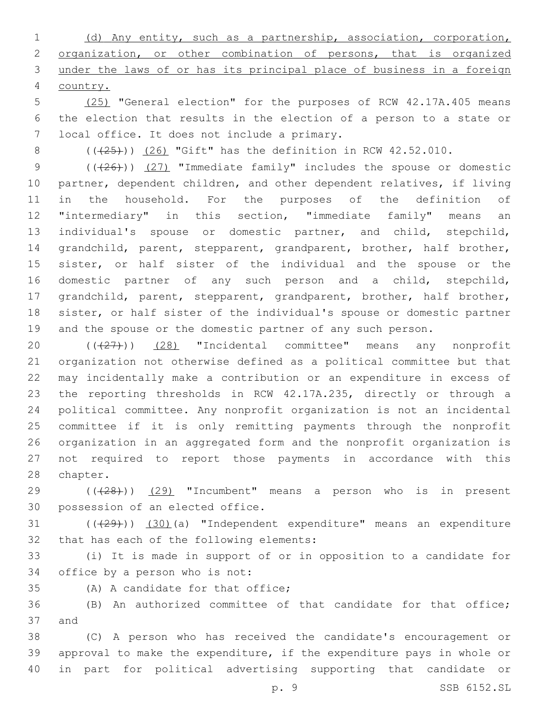(d) Any entity, such as a partnership, association, corporation, organization, or other combination of persons, that is organized under the laws of or has its principal place of business in a foreign country.

 (25) "General election" for the purposes of RCW 42.17A.405 means the election that results in the election of a person to a state or 7 local office. It does not include a primary.

8  $((+25+))$  (26) "Gift" has the definition in RCW 42.52.010.

9 (( $(26)$ )) (27) "Immediate family" includes the spouse or domestic partner, dependent children, and other dependent relatives, if living in the household. For the purposes of the definition of "intermediary" in this section, "immediate family" means an individual's spouse or domestic partner, and child, stepchild, grandchild, parent, stepparent, grandparent, brother, half brother, sister, or half sister of the individual and the spouse or the domestic partner of any such person and a child, stepchild, grandchild, parent, stepparent, grandparent, brother, half brother, sister, or half sister of the individual's spouse or domestic partner 19 and the spouse or the domestic partner of any such person.

 $((+27))$   $(28)$  "Incidental committee" means any nonprofit organization not otherwise defined as a political committee but that may incidentally make a contribution or an expenditure in excess of the reporting thresholds in RCW 42.17A.235, directly or through a political committee. Any nonprofit organization is not an incidental committee if it is only remitting payments through the nonprofit organization in an aggregated form and the nonprofit organization is not required to report those payments in accordance with this 28 chapter.

29 (((28))) (29) "Incumbent" means a person who is in present 30 possession of an elected office.

31 (((29))) (30)(a) "Independent expenditure" means an expenditure 32 that has each of the following elements:

 (i) It is made in support of or in opposition to a candidate for 34 office by a person who is not:

35 (A) A candidate for that office;

 (B) An authorized committee of that candidate for that office; 37 and

 (C) A person who has received the candidate's encouragement or approval to make the expenditure, if the expenditure pays in whole or in part for political advertising supporting that candidate or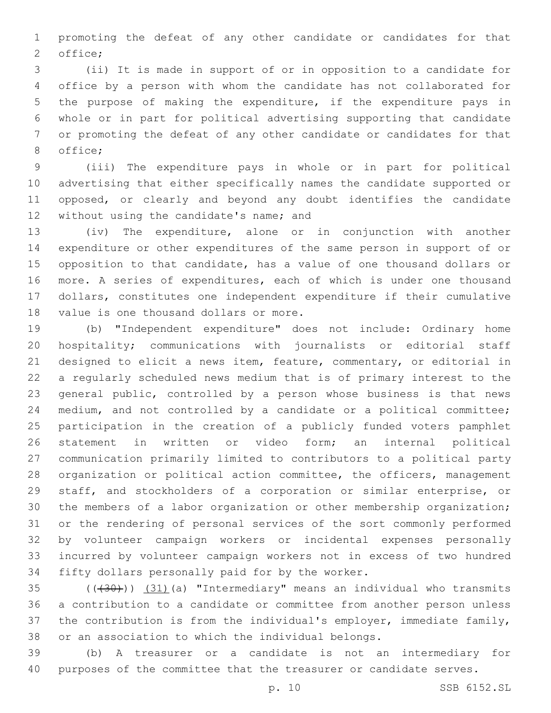promoting the defeat of any other candidate or candidates for that 2 office;

 (ii) It is made in support of or in opposition to a candidate for office by a person with whom the candidate has not collaborated for the purpose of making the expenditure, if the expenditure pays in whole or in part for political advertising supporting that candidate or promoting the defeat of any other candidate or candidates for that 8 office;

 (iii) The expenditure pays in whole or in part for political advertising that either specifically names the candidate supported or opposed, or clearly and beyond any doubt identifies the candidate 12 without using the candidate's name; and

 (iv) The expenditure, alone or in conjunction with another expenditure or other expenditures of the same person in support of or opposition to that candidate, has a value of one thousand dollars or more. A series of expenditures, each of which is under one thousand dollars, constitutes one independent expenditure if their cumulative 18 value is one thousand dollars or more.

 (b) "Independent expenditure" does not include: Ordinary home hospitality; communications with journalists or editorial staff designed to elicit a news item, feature, commentary, or editorial in a regularly scheduled news medium that is of primary interest to the general public, controlled by a person whose business is that news medium, and not controlled by a candidate or a political committee; participation in the creation of a publicly funded voters pamphlet statement in written or video form; an internal political communication primarily limited to contributors to a political party organization or political action committee, the officers, management staff, and stockholders of a corporation or similar enterprise, or the members of a labor organization or other membership organization; or the rendering of personal services of the sort commonly performed by volunteer campaign workers or incidental expenses personally incurred by volunteer campaign workers not in excess of two hundred 34 fifty dollars personally paid for by the worker.

 $(1,30)$  ( $(31)$  (a) "Intermediary" means an individual who transmits a contribution to a candidate or committee from another person unless the contribution is from the individual's employer, immediate family, or an association to which the individual belongs.

 (b) A treasurer or a candidate is not an intermediary for purposes of the committee that the treasurer or candidate serves.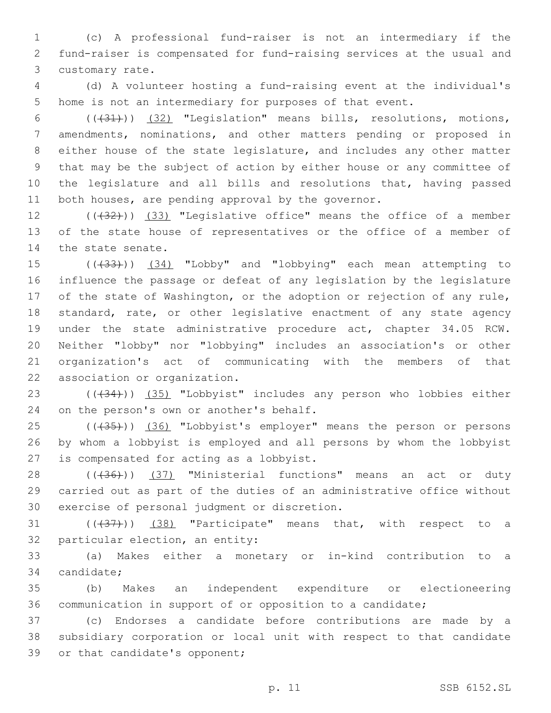1 (c) A professional fund-raiser is not an intermediary if the 2 fund-raiser is compensated for fund-raising services at the usual and 3 customary rate.

4 (d) A volunteer hosting a fund-raising event at the individual's 5 home is not an intermediary for purposes of that event.

 (((31))) (32) "Legislation" means bills, resolutions, motions, amendments, nominations, and other matters pending or proposed in either house of the state legislature, and includes any other matter that may be the subject of action by either house or any committee of the legislature and all bills and resolutions that, having passed 11 both houses, are pending approval by the governor.

12 (((32))) (33) "Legislative office" means the office of a member 13 of the state house of representatives or the office of a member of 14 the state senate.

15 (( $(33)$ )) (34) "Lobby" and "lobbying" each mean attempting to influence the passage or defeat of any legislation by the legislature of the state of Washington, or the adoption or rejection of any rule, standard, rate, or other legislative enactment of any state agency under the state administrative procedure act, chapter 34.05 RCW. Neither "lobby" nor "lobbying" includes an association's or other organization's act of communicating with the members of that 22 association or organization.

23 (((34))) (35) "Lobbyist" includes any person who lobbies either 24 on the person's own or another's behalf.

25 (((435))) (36) "Lobbyist's employer" means the person or persons 26 by whom a lobbyist is employed and all persons by whom the lobbyist 27 is compensated for acting as a lobbyist.

28 ((+36))) (37) "Ministerial functions" means an act or duty 29 carried out as part of the duties of an administrative office without 30 exercise of personal judgment or discretion.

 $(1)(\frac{1}{37})$   $(38)$  "Participate" means that, with respect to a 32 particular election, an entity:

33 (a) Makes either a monetary or in-kind contribution to a 34 candidate;

35 (b) Makes an independent expenditure or electioneering 36 communication in support of or opposition to a candidate;

37 (c) Endorses a candidate before contributions are made by a 38 subsidiary corporation or local unit with respect to that candidate 39 or that candidate's opponent;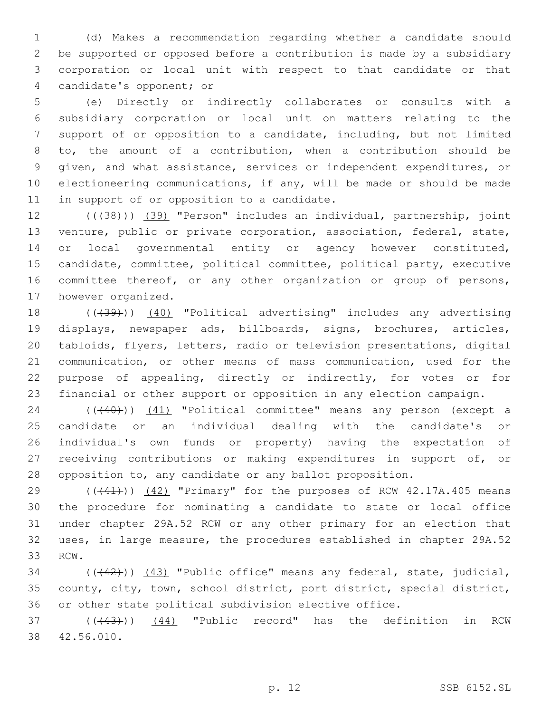(d) Makes a recommendation regarding whether a candidate should be supported or opposed before a contribution is made by a subsidiary corporation or local unit with respect to that candidate or that 4 candidate's opponent; or

 (e) Directly or indirectly collaborates or consults with a subsidiary corporation or local unit on matters relating to the support of or opposition to a candidate, including, but not limited to, the amount of a contribution, when a contribution should be given, and what assistance, services or independent expenditures, or electioneering communications, if any, will be made or should be made 11 in support of or opposition to a candidate.

12 (((38))) (39) "Person" includes an individual, partnership, joint venture, public or private corporation, association, federal, state, 14 or local governmental entity or agency however constituted, candidate, committee, political committee, political party, executive committee thereof, or any other organization or group of persons, 17 however organized.

18 (((39))) (40) "Political advertising" includes any advertising displays, newspaper ads, billboards, signs, brochures, articles, tabloids, flyers, letters, radio or television presentations, digital communication, or other means of mass communication, used for the purpose of appealing, directly or indirectly, for votes or for financial or other support or opposition in any election campaign.

24 ((440))) (41) "Political committee" means any person (except a candidate or an individual dealing with the candidate's or individual's own funds or property) having the expectation of receiving contributions or making expenditures in support of, or opposition to, any candidate or any ballot proposition.

 $((441))$  (42) "Primary" for the purposes of RCW 42.17A.405 means the procedure for nominating a candidate to state or local office under chapter 29A.52 RCW or any other primary for an election that uses, in large measure, the procedures established in chapter 29A.52 33 RCW.

34 (((42))) (43) "Public office" means any federal, state, judicial, county, city, town, school district, port district, special district, or other state political subdivision elective office.

37 (((43))) (44) "Public record" has the definition in RCW 42.56.010.38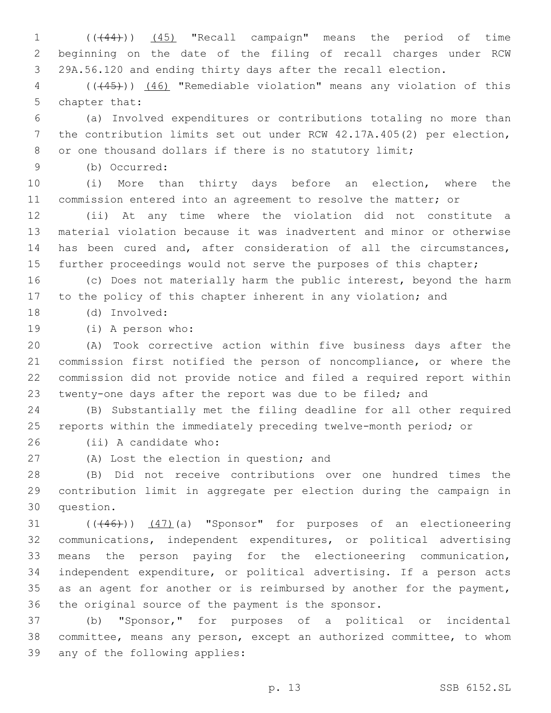(((44))) (45) "Recall campaign" means the period of time beginning on the date of the filing of recall charges under RCW 29A.56.120 and ending thirty days after the recall election.

 (((45))) (46) "Remediable violation" means any violation of this 5 chapter that:

 (a) Involved expenditures or contributions totaling no more than the contribution limits set out under RCW 42.17A.405(2) per election, 8 or one thousand dollars if there is no statutory limit;

(b) Occurred:9

 (i) More than thirty days before an election, where the commission entered into an agreement to resolve the matter; or

 (ii) At any time where the violation did not constitute a material violation because it was inadvertent and minor or otherwise has been cured and, after consideration of all the circumstances, further proceedings would not serve the purposes of this chapter;

 (c) Does not materially harm the public interest, beyond the harm to the policy of this chapter inherent in any violation; and

(d) Involved:18

19 (i) A person who:

 (A) Took corrective action within five business days after the commission first notified the person of noncompliance, or where the commission did not provide notice and filed a required report within twenty-one days after the report was due to be filed; and

 (B) Substantially met the filing deadline for all other required reports within the immediately preceding twelve-month period; or

26 (ii) A candidate who:

27 (A) Lost the election in question; and

 (B) Did not receive contributions over one hundred times the contribution limit in aggregate per election during the campaign in 30 question.

31 (((46))) (47)(a) "Sponsor" for purposes of an electioneering communications, independent expenditures, or political advertising means the person paying for the electioneering communication, independent expenditure, or political advertising. If a person acts 35 as an agent for another or is reimbursed by another for the payment, the original source of the payment is the sponsor.

 (b) "Sponsor," for purposes of a political or incidental committee, means any person, except an authorized committee, to whom 39 any of the following applies: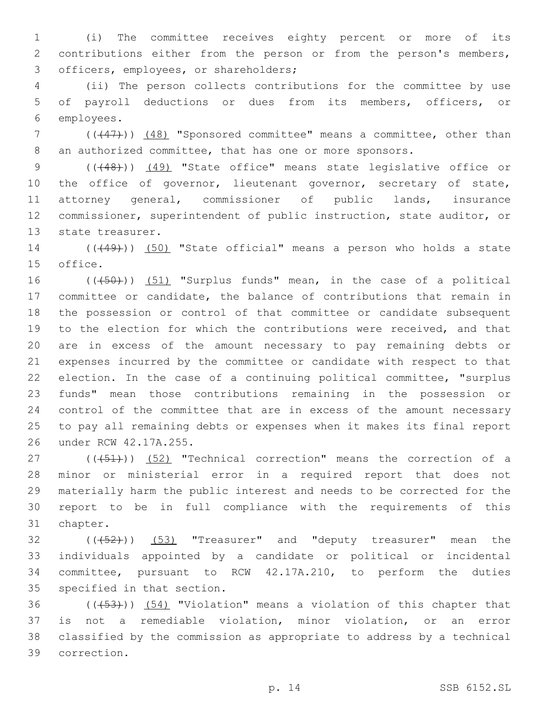(i) The committee receives eighty percent or more of its contributions either from the person or from the person's members, 3 officers, employees, or shareholders;

 (ii) The person collects contributions for the committee by use of payroll deductions or dues from its members, officers, or 6 employees.

7 ((+47)) (48) "Sponsored committee" means a committee, other than 8 an authorized committee, that has one or more sponsors.

9 (( $(48)$ )) (49) "State office" means state legislative office or 10 the office of governor, lieutenant governor, secretary of state, attorney general, commissioner of public lands, insurance commissioner, superintendent of public instruction, state auditor, or 13 state treasurer.

 (((49))) (50) "State official" means a person who holds a state 15 office.

16 (((50))) (51) "Surplus funds" mean, in the case of a political committee or candidate, the balance of contributions that remain in the possession or control of that committee or candidate subsequent to the election for which the contributions were received, and that are in excess of the amount necessary to pay remaining debts or expenses incurred by the committee or candidate with respect to that election. In the case of a continuing political committee, "surplus funds" mean those contributions remaining in the possession or control of the committee that are in excess of the amount necessary to pay all remaining debts or expenses when it makes its final report under RCW 42.17A.255.26

27 (((451)) (52) "Technical correction" means the correction of a minor or ministerial error in a required report that does not materially harm the public interest and needs to be corrected for the report to be in full compliance with the requirements of this 31 chapter.

 ( $(\overline{+52})$ )  $(53)$  "Treasurer" and "deputy treasurer" mean the individuals appointed by a candidate or political or incidental committee, pursuant to RCW 42.17A.210, to perform the duties 35 specified in that section.

 (( $(453)$ )) (54) "Violation" means a violation of this chapter that is not a remediable violation, minor violation, or an error classified by the commission as appropriate to address by a technical correction.39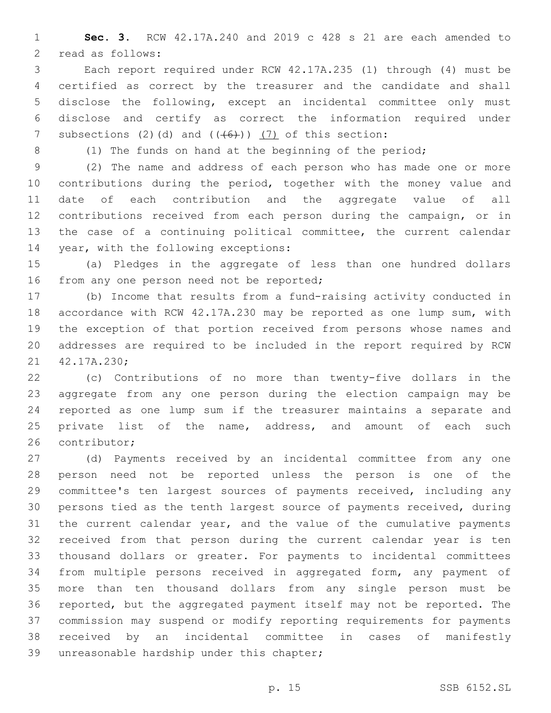**Sec. 3.** RCW 42.17A.240 and 2019 c 428 s 21 are each amended to 2 read as follows:

 Each report required under RCW 42.17A.235 (1) through (4) must be certified as correct by the treasurer and the candidate and shall disclose the following, except an incidental committee only must disclose and certify as correct the information required under 7 subsections (2)(d) and  $((+6)^2)$  (7) of this section:

8 (1) The funds on hand at the beginning of the period;

 (2) The name and address of each person who has made one or more 10 contributions during the period, together with the money value and date of each contribution and the aggregate value of all contributions received from each person during the campaign, or in the case of a continuing political committee, the current calendar 14 year, with the following exceptions:

 (a) Pledges in the aggregate of less than one hundred dollars 16 from any one person need not be reported;

 (b) Income that results from a fund-raising activity conducted in accordance with RCW 42.17A.230 may be reported as one lump sum, with the exception of that portion received from persons whose names and addresses are required to be included in the report required by RCW 21 42.17A.230;

 (c) Contributions of no more than twenty-five dollars in the aggregate from any one person during the election campaign may be reported as one lump sum if the treasurer maintains a separate and 25 private list of the name, address, and amount of each such 26 contributor;

 (d) Payments received by an incidental committee from any one person need not be reported unless the person is one of the committee's ten largest sources of payments received, including any persons tied as the tenth largest source of payments received, during the current calendar year, and the value of the cumulative payments received from that person during the current calendar year is ten thousand dollars or greater. For payments to incidental committees from multiple persons received in aggregated form, any payment of more than ten thousand dollars from any single person must be reported, but the aggregated payment itself may not be reported. The commission may suspend or modify reporting requirements for payments received by an incidental committee in cases of manifestly 39 unreasonable hardship under this chapter;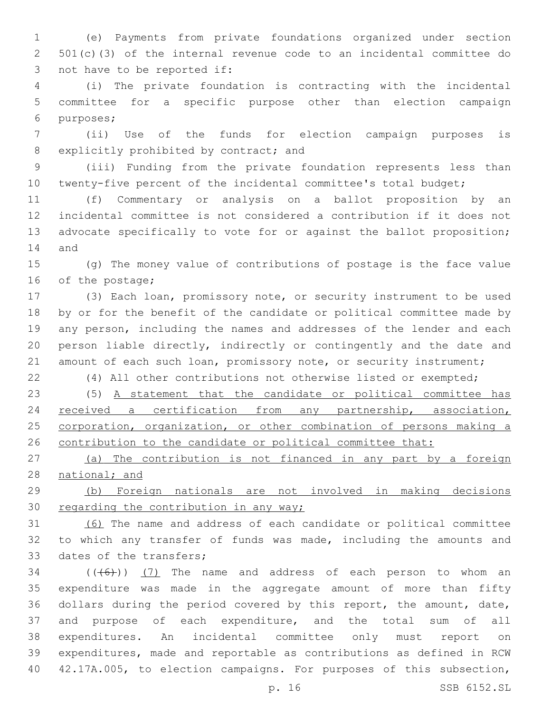(e) Payments from private foundations organized under section 501(c)(3) of the internal revenue code to an incidental committee do 3 not have to be reported if:

 (i) The private foundation is contracting with the incidental committee for a specific purpose other than election campaign 6 purposes;

 (ii) Use of the funds for election campaign purposes is 8 explicitly prohibited by contract; and

 (iii) Funding from the private foundation represents less than twenty-five percent of the incidental committee's total budget;

 (f) Commentary or analysis on a ballot proposition by an incidental committee is not considered a contribution if it does not advocate specifically to vote for or against the ballot proposition; 14 and

 (g) The money value of contributions of postage is the face value 16 of the postage;

 (3) Each loan, promissory note, or security instrument to be used by or for the benefit of the candidate or political committee made by any person, including the names and addresses of the lender and each person liable directly, indirectly or contingently and the date and 21 amount of each such loan, promissory note, or security instrument;

(4) All other contributions not otherwise listed or exempted;

 (5) A statement that the candidate or political committee has received a certification from any partnership, association, 25 corporation, organization, or other combination of persons making a 26 contribution to the candidate or political committee that:

 (a) The contribution is not financed in any part by a foreign national; and

 (b) Foreign nationals are not involved in making decisions 30 regarding the contribution in any way;

 (6) The name and address of each candidate or political committee to which any transfer of funds was made, including the amounts and 33 dates of the transfers;

 ( $(\overline{(+6)}$ ))  $(7)$  The name and address of each person to whom an expenditure was made in the aggregate amount of more than fifty dollars during the period covered by this report, the amount, date, and purpose of each expenditure, and the total sum of all expenditures. An incidental committee only must report on expenditures, made and reportable as contributions as defined in RCW 42.17A.005, to election campaigns. For purposes of this subsection,

p. 16 SSB 6152.SL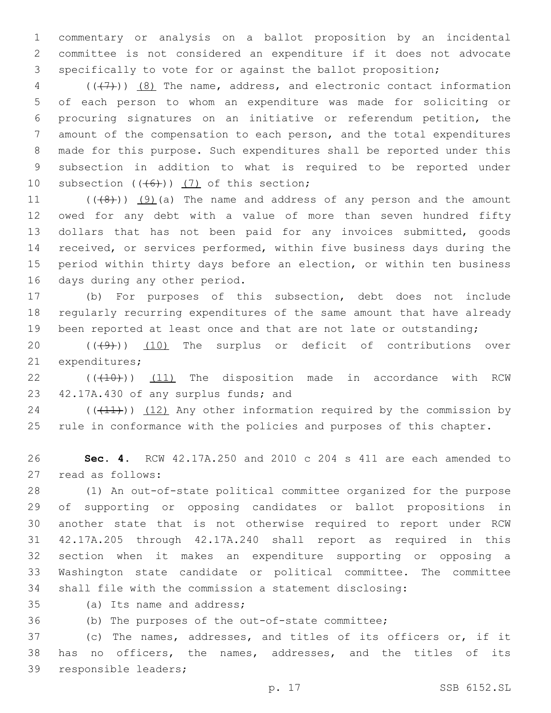commentary or analysis on a ballot proposition by an incidental committee is not considered an expenditure if it does not advocate specifically to vote for or against the ballot proposition;

 ( $(\overline{(+7)})$   $(8)$  The name, address, and electronic contact information of each person to whom an expenditure was made for soliciting or procuring signatures on an initiative or referendum petition, the amount of the compensation to each person, and the total expenditures made for this purpose. Such expenditures shall be reported under this subsection in addition to what is required to be reported under 10 subsection  $((+6))$  (7) of this section;

 $((48))$   $(9)$  (a) The name and address of any person and the amount owed for any debt with a value of more than seven hundred fifty dollars that has not been paid for any invoices submitted, goods received, or services performed, within five business days during the period within thirty days before an election, or within ten business 16 days during any other period.

 (b) For purposes of this subsection, debt does not include regularly recurring expenditures of the same amount that have already 19 been reported at least once and that are not late or outstanding;

20  $((+9+))$   $(10)$  The surplus or deficit of contributions over 21 expenditures;

 $((+10))$  (11) The disposition made in accordance with RCW 23 42.17A.430 of any surplus funds; and

 (( $(11)$ )) (12) Any other information required by the commission by rule in conformance with the policies and purposes of this chapter.

 **Sec. 4.** RCW 42.17A.250 and 2010 c 204 s 411 are each amended to 27 read as follows:

 (1) An out-of-state political committee organized for the purpose of supporting or opposing candidates or ballot propositions in another state that is not otherwise required to report under RCW 42.17A.205 through 42.17A.240 shall report as required in this section when it makes an expenditure supporting or opposing a Washington state candidate or political committee. The committee shall file with the commission a statement disclosing:

35 (a) Its name and address;

(b) The purposes of the out-of-state committee;

 (c) The names, addresses, and titles of its officers or, if it has no officers, the names, addresses, and the titles of its 39 responsible leaders;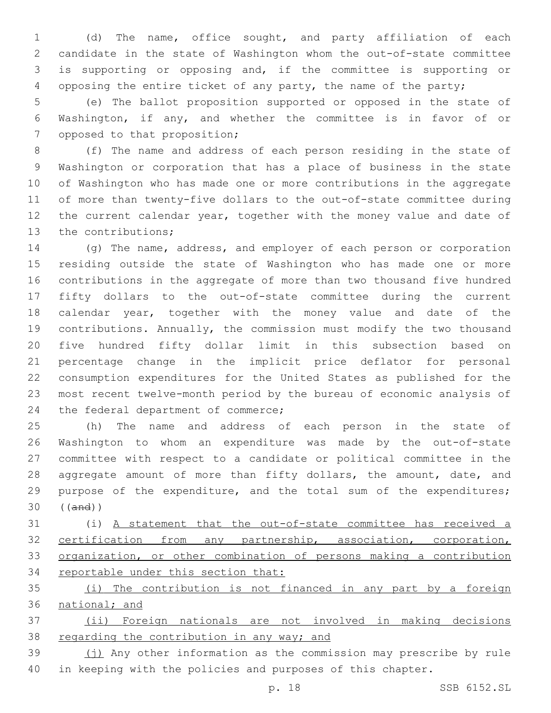(d) The name, office sought, and party affiliation of each candidate in the state of Washington whom the out-of-state committee is supporting or opposing and, if the committee is supporting or opposing the entire ticket of any party, the name of the party;

 (e) The ballot proposition supported or opposed in the state of Washington, if any, and whether the committee is in favor of or 7 opposed to that proposition;

 (f) The name and address of each person residing in the state of Washington or corporation that has a place of business in the state of Washington who has made one or more contributions in the aggregate of more than twenty-five dollars to the out-of-state committee during the current calendar year, together with the money value and date of 13 the contributions;

 (g) The name, address, and employer of each person or corporation residing outside the state of Washington who has made one or more contributions in the aggregate of more than two thousand five hundred fifty dollars to the out-of-state committee during the current calendar year, together with the money value and date of the contributions. Annually, the commission must modify the two thousand five hundred fifty dollar limit in this subsection based on percentage change in the implicit price deflator for personal consumption expenditures for the United States as published for the most recent twelve-month period by the bureau of economic analysis of 24 the federal department of commerce;

 (h) The name and address of each person in the state of Washington to whom an expenditure was made by the out-of-state committee with respect to a candidate or political committee in the 28 aggregate amount of more than fifty dollars, the amount, date, and purpose of the expenditure, and the total sum of the expenditures; ((and))

 (i) A statement that the out-of-state committee has received a certification from any partnership, association, corporation, organization, or other combination of persons making a contribution 34 reportable under this section that:

 (i) The contribution is not financed in any part by a foreign national; and

 (ii) Foreign nationals are not involved in making decisions 38 regarding the contribution in any way; and

39 (i) Any other information as the commission may prescribe by rule in keeping with the policies and purposes of this chapter.

p. 18 SSB 6152.SL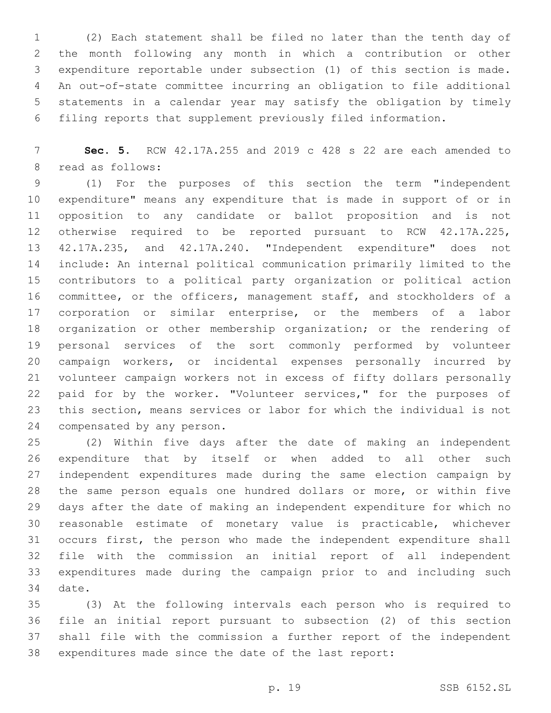(2) Each statement shall be filed no later than the tenth day of the month following any month in which a contribution or other expenditure reportable under subsection (1) of this section is made. An out-of-state committee incurring an obligation to file additional statements in a calendar year may satisfy the obligation by timely filing reports that supplement previously filed information.

 **Sec. 5.** RCW 42.17A.255 and 2019 c 428 s 22 are each amended to 8 read as follows:

 (1) For the purposes of this section the term "independent expenditure" means any expenditure that is made in support of or in opposition to any candidate or ballot proposition and is not otherwise required to be reported pursuant to RCW 42.17A.225, 42.17A.235, and 42.17A.240. "Independent expenditure" does not include: An internal political communication primarily limited to the contributors to a political party organization or political action committee, or the officers, management staff, and stockholders of a corporation or similar enterprise, or the members of a labor organization or other membership organization; or the rendering of personal services of the sort commonly performed by volunteer campaign workers, or incidental expenses personally incurred by volunteer campaign workers not in excess of fifty dollars personally 22 paid for by the worker. "Volunteer services," for the purposes of this section, means services or labor for which the individual is not 24 compensated by any person.

 (2) Within five days after the date of making an independent expenditure that by itself or when added to all other such independent expenditures made during the same election campaign by the same person equals one hundred dollars or more, or within five days after the date of making an independent expenditure for which no reasonable estimate of monetary value is practicable, whichever occurs first, the person who made the independent expenditure shall file with the commission an initial report of all independent expenditures made during the campaign prior to and including such 34 date.

 (3) At the following intervals each person who is required to file an initial report pursuant to subsection (2) of this section shall file with the commission a further report of the independent expenditures made since the date of the last report: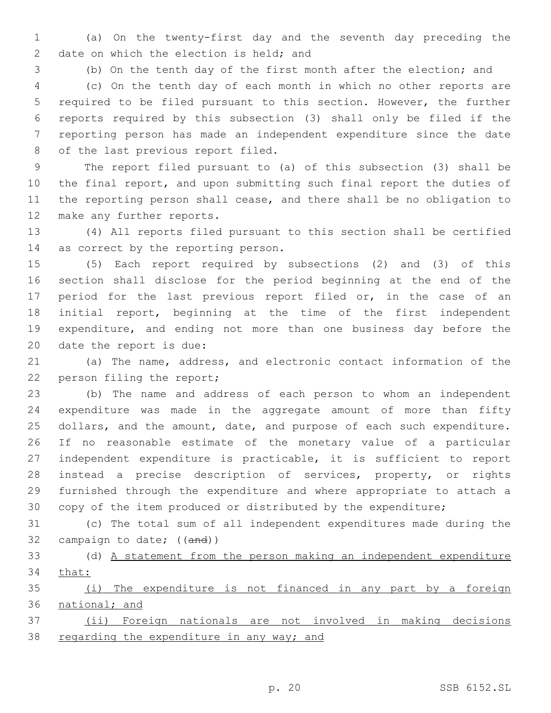(a) On the twenty-first day and the seventh day preceding the 2 date on which the election is held; and

 (b) On the tenth day of the first month after the election; and (c) On the tenth day of each month in which no other reports are required to be filed pursuant to this section. However, the further reports required by this subsection (3) shall only be filed if the reporting person has made an independent expenditure since the date 8 of the last previous report filed.

 The report filed pursuant to (a) of this subsection (3) shall be the final report, and upon submitting such final report the duties of the reporting person shall cease, and there shall be no obligation to 12 make any further reports.

 (4) All reports filed pursuant to this section shall be certified 14 as correct by the reporting person.

 (5) Each report required by subsections (2) and (3) of this section shall disclose for the period beginning at the end of the 17 period for the last previous report filed or, in the case of an initial report, beginning at the time of the first independent expenditure, and ending not more than one business day before the 20 date the report is due:

 (a) The name, address, and electronic contact information of the 22 person filing the report;

 (b) The name and address of each person to whom an independent expenditure was made in the aggregate amount of more than fifty 25 dollars, and the amount, date, and purpose of each such expenditure. If no reasonable estimate of the monetary value of a particular independent expenditure is practicable, it is sufficient to report instead a precise description of services, property, or rights furnished through the expenditure and where appropriate to attach a copy of the item produced or distributed by the expenditure;

 (c) The total sum of all independent expenditures made during the 32 campaign to date; ((and))

 (d) A statement from the person making an independent expenditure that:

 (i) The expenditure is not financed in any part by a foreign national; and

 (ii) Foreign nationals are not involved in making decisions 38 regarding the expenditure in any way; and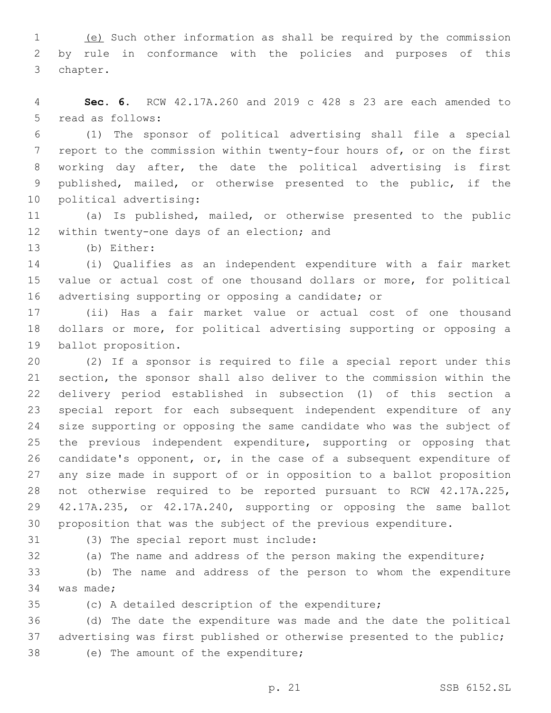(e) Such other information as shall be required by the commission by rule in conformance with the policies and purposes of this 3 chapter.

 **Sec. 6.** RCW 42.17A.260 and 2019 c 428 s 23 are each amended to 5 read as follows:

 (1) The sponsor of political advertising shall file a special report to the commission within twenty-four hours of, or on the first working day after, the date the political advertising is first published, mailed, or otherwise presented to the public, if the 10 political advertising:

 (a) Is published, mailed, or otherwise presented to the public 12 within twenty-one days of an election; and

13 (b) Either:

 (i) Qualifies as an independent expenditure with a fair market value or actual cost of one thousand dollars or more, for political advertising supporting or opposing a candidate; or

 (ii) Has a fair market value or actual cost of one thousand dollars or more, for political advertising supporting or opposing a 19 ballot proposition.

 (2) If a sponsor is required to file a special report under this section, the sponsor shall also deliver to the commission within the delivery period established in subsection (1) of this section a special report for each subsequent independent expenditure of any size supporting or opposing the same candidate who was the subject of 25 the previous independent expenditure, supporting or opposing that candidate's opponent, or, in the case of a subsequent expenditure of any size made in support of or in opposition to a ballot proposition not otherwise required to be reported pursuant to RCW 42.17A.225, 42.17A.235, or 42.17A.240, supporting or opposing the same ballot proposition that was the subject of the previous expenditure.

31 (3) The special report must include:

(a) The name and address of the person making the expenditure;

 (b) The name and address of the person to whom the expenditure 34 was made;

(c) A detailed description of the expenditure;

 (d) The date the expenditure was made and the date the political advertising was first published or otherwise presented to the public; 38 (e) The amount of the expenditure;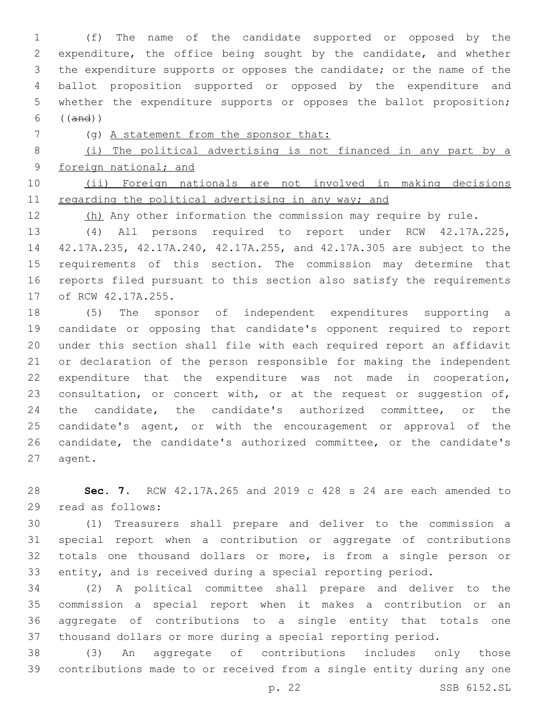(f) The name of the candidate supported or opposed by the expenditure, the office being sought by the candidate, and whether the expenditure supports or opposes the candidate; or the name of the ballot proposition supported or opposed by the expenditure and whether the expenditure supports or opposes the ballot proposition; ((and))

(g) A statement from the sponsor that:

 (i) The political advertising is not financed in any part by a foreign national; and

 (ii) Foreign nationals are not involved in making decisions 11 regarding the political advertising in any way; and

12 (h) Any other information the commission may require by rule.

 (4) All persons required to report under RCW 42.17A.225, 42.17A.235, 42.17A.240, 42.17A.255, and 42.17A.305 are subject to the requirements of this section. The commission may determine that reports filed pursuant to this section also satisfy the requirements 17 of RCW 42.17A.255.

 (5) The sponsor of independent expenditures supporting a candidate or opposing that candidate's opponent required to report under this section shall file with each required report an affidavit or declaration of the person responsible for making the independent expenditure that the expenditure was not made in cooperation, 23 consultation, or concert with, or at the request or suggestion of, the candidate, the candidate's authorized committee, or the 25 candidate's agent, or with the encouragement or approval of the candidate, the candidate's authorized committee, or the candidate's 27 agent.

 **Sec. 7.** RCW 42.17A.265 and 2019 c 428 s 24 are each amended to read as follows:29

 (1) Treasurers shall prepare and deliver to the commission a special report when a contribution or aggregate of contributions totals one thousand dollars or more, is from a single person or entity, and is received during a special reporting period.

 (2) A political committee shall prepare and deliver to the commission a special report when it makes a contribution or an aggregate of contributions to a single entity that totals one thousand dollars or more during a special reporting period.

 (3) An aggregate of contributions includes only those contributions made to or received from a single entity during any one

p. 22 SSB 6152.SL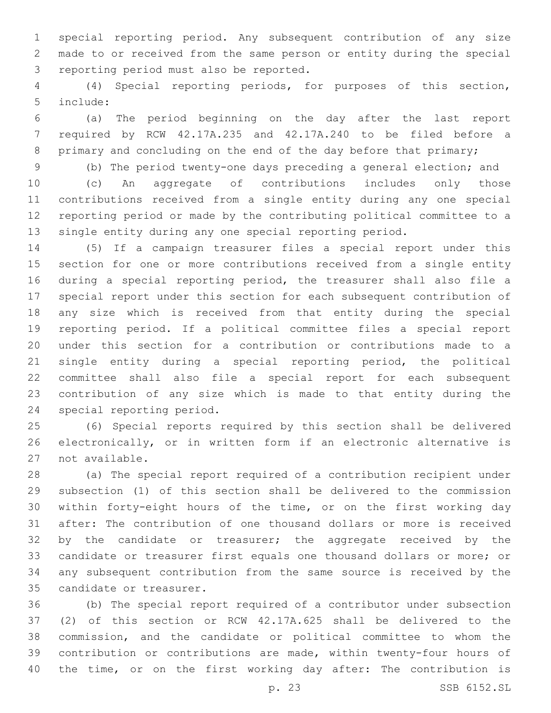special reporting period. Any subsequent contribution of any size made to or received from the same person or entity during the special 3 reporting period must also be reported.

 (4) Special reporting periods, for purposes of this section, include:5

 (a) The period beginning on the day after the last report required by RCW 42.17A.235 and 42.17A.240 to be filed before a 8 primary and concluding on the end of the day before that primary;

(b) The period twenty-one days preceding a general election; and

 (c) An aggregate of contributions includes only those contributions received from a single entity during any one special reporting period or made by the contributing political committee to a single entity during any one special reporting period.

 (5) If a campaign treasurer files a special report under this section for one or more contributions received from a single entity during a special reporting period, the treasurer shall also file a special report under this section for each subsequent contribution of any size which is received from that entity during the special reporting period. If a political committee files a special report under this section for a contribution or contributions made to a single entity during a special reporting period, the political committee shall also file a special report for each subsequent contribution of any size which is made to that entity during the 24 special reporting period.

 (6) Special reports required by this section shall be delivered electronically, or in written form if an electronic alternative is 27 not available.

 (a) The special report required of a contribution recipient under subsection (1) of this section shall be delivered to the commission within forty-eight hours of the time, or on the first working day after: The contribution of one thousand dollars or more is received 32 by the candidate or treasurer; the aggregate received by the candidate or treasurer first equals one thousand dollars or more; or any subsequent contribution from the same source is received by the 35 candidate or treasurer.

 (b) The special report required of a contributor under subsection (2) of this section or RCW 42.17A.625 shall be delivered to the commission, and the candidate or political committee to whom the contribution or contributions are made, within twenty-four hours of the time, or on the first working day after: The contribution is

p. 23 SSB 6152.SL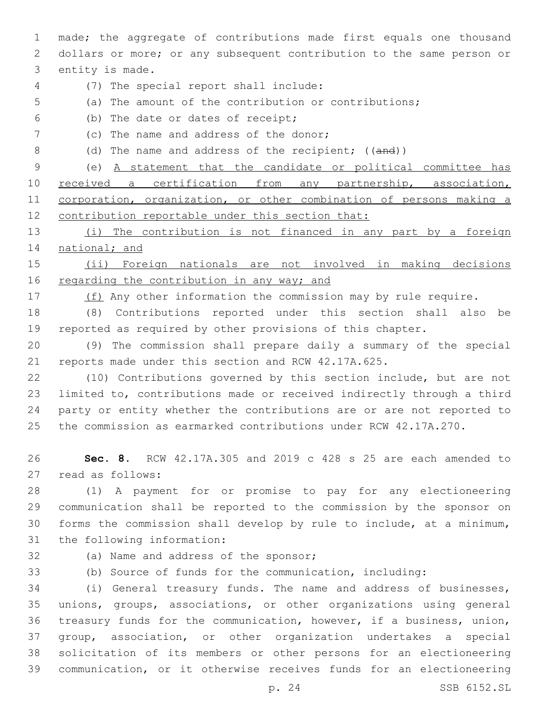made; the aggregate of contributions made first equals one thousand dollars or more; or any subsequent contribution to the same person or 3 entity is made.

- 
- (7) The special report shall include:4
- (a) The amount of the contribution or contributions;
- (b) The date or dates of receipt;6
- 7 (c) The name and address of the donor;
- 8 (d) The name and address of the recipient; ((and))

 (e) A statement that the candidate or political committee has 10 received a certification from any partnership, association, corporation, organization, or other combination of persons making a 12 contribution reportable under this section that:

 (i) The contribution is not financed in any part by a foreign 14 national; and

 (ii) Foreign nationals are not involved in making decisions 16 regarding the contribution in any way; and

17 (f) Any other information the commission may by rule require.

 (8) Contributions reported under this section shall also be reported as required by other provisions of this chapter.

 (9) The commission shall prepare daily a summary of the special reports made under this section and RCW 42.17A.625.

 (10) Contributions governed by this section include, but are not limited to, contributions made or received indirectly through a third party or entity whether the contributions are or are not reported to the commission as earmarked contributions under RCW 42.17A.270.

 **Sec. 8.** RCW 42.17A.305 and 2019 c 428 s 25 are each amended to 27 read as follows:

 (1) A payment for or promise to pay for any electioneering communication shall be reported to the commission by the sponsor on forms the commission shall develop by rule to include, at a minimum, 31 the following information:

32 (a) Name and address of the sponsor;

(b) Source of funds for the communication, including:

 (i) General treasury funds. The name and address of businesses, unions, groups, associations, or other organizations using general treasury funds for the communication, however, if a business, union, group, association, or other organization undertakes a special solicitation of its members or other persons for an electioneering communication, or it otherwise receives funds for an electioneering

p. 24 SSB 6152.SL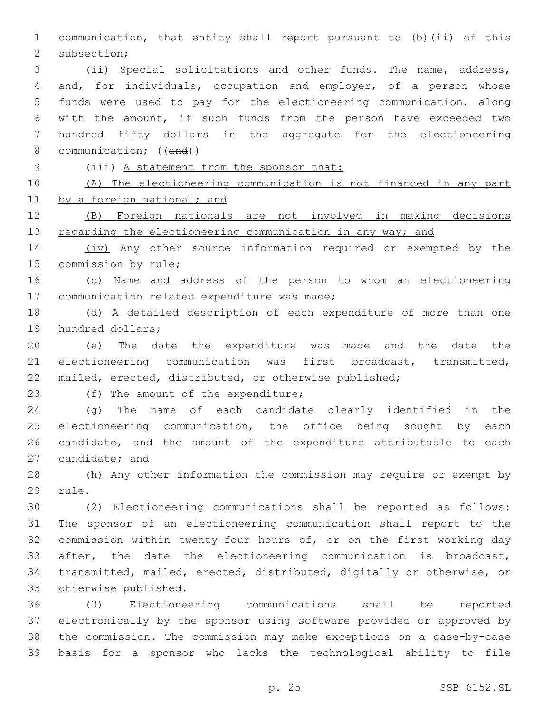communication, that entity shall report pursuant to (b)(ii) of this 2 subsection;

 (ii) Special solicitations and other funds. The name, address, and, for individuals, occupation and employer, of a person whose funds were used to pay for the electioneering communication, along with the amount, if such funds from the person have exceeded two hundred fifty dollars in the aggregate for the electioneering 8 communication; ((and))

(iii) A statement from the sponsor that:

 (A) The electioneering communication is not financed in any part 11 by a foreign national; and

 (B) Foreign nationals are not involved in making decisions 13 regarding the electioneering communication in any way; and

 (iv) Any other source information required or exempted by the 15 commission by rule;

 (c) Name and address of the person to whom an electioneering 17 communication related expenditure was made;

 (d) A detailed description of each expenditure of more than one 19 hundred dollars;

 (e) The date the expenditure was made and the date the electioneering communication was first broadcast, transmitted, mailed, erected, distributed, or otherwise published;

23 (f) The amount of the expenditure;

 (g) The name of each candidate clearly identified in the 25 electioneering communication, the office being sought by each candidate, and the amount of the expenditure attributable to each 27 candidate; and

 (h) Any other information the commission may require or exempt by 29 rule.

 (2) Electioneering communications shall be reported as follows: The sponsor of an electioneering communication shall report to the commission within twenty-four hours of, or on the first working day after, the date the electioneering communication is broadcast, transmitted, mailed, erected, distributed, digitally or otherwise, or 35 otherwise published.

 (3) Electioneering communications shall be reported electronically by the sponsor using software provided or approved by the commission. The commission may make exceptions on a case-by-case basis for a sponsor who lacks the technological ability to file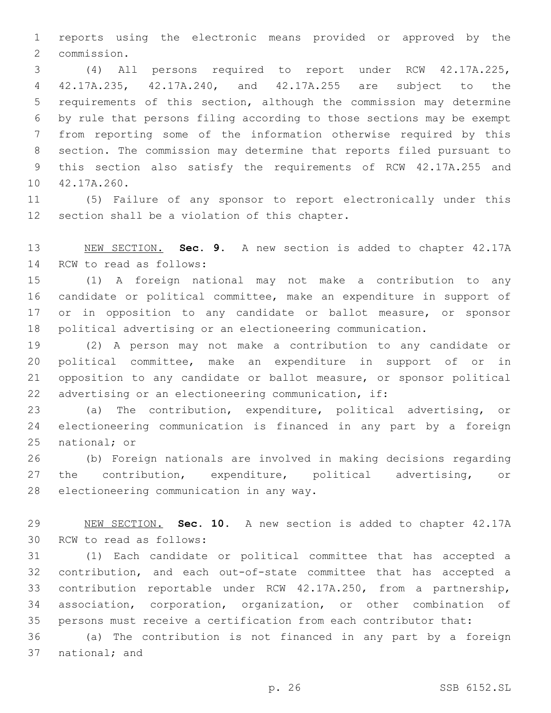reports using the electronic means provided or approved by the commission.2

 (4) All persons required to report under RCW 42.17A.225, 42.17A.235, 42.17A.240, and 42.17A.255 are subject to the requirements of this section, although the commission may determine by rule that persons filing according to those sections may be exempt from reporting some of the information otherwise required by this section. The commission may determine that reports filed pursuant to this section also satisfy the requirements of RCW 42.17A.255 and 10 42.17A.260.

 (5) Failure of any sponsor to report electronically under this 12 section shall be a violation of this chapter.

 NEW SECTION. **Sec. 9.** A new section is added to chapter 42.17A 14 RCW to read as follows:

 (1) A foreign national may not make a contribution to any candidate or political committee, make an expenditure in support of or in opposition to any candidate or ballot measure, or sponsor political advertising or an electioneering communication.

 (2) A person may not make a contribution to any candidate or political committee, make an expenditure in support of or in opposition to any candidate or ballot measure, or sponsor political advertising or an electioneering communication, if:

 (a) The contribution, expenditure, political advertising, or electioneering communication is financed in any part by a foreign national; or

 (b) Foreign nationals are involved in making decisions regarding 27 the contribution, expenditure, political advertising, or 28 electioneering communication in any way.

 NEW SECTION. **Sec. 10.** A new section is added to chapter 42.17A 30 RCW to read as follows:

 (1) Each candidate or political committee that has accepted a contribution, and each out-of-state committee that has accepted a contribution reportable under RCW 42.17A.250, from a partnership, association, corporation, organization, or other combination of persons must receive a certification from each contributor that:

 (a) The contribution is not financed in any part by a foreign 37 national; and